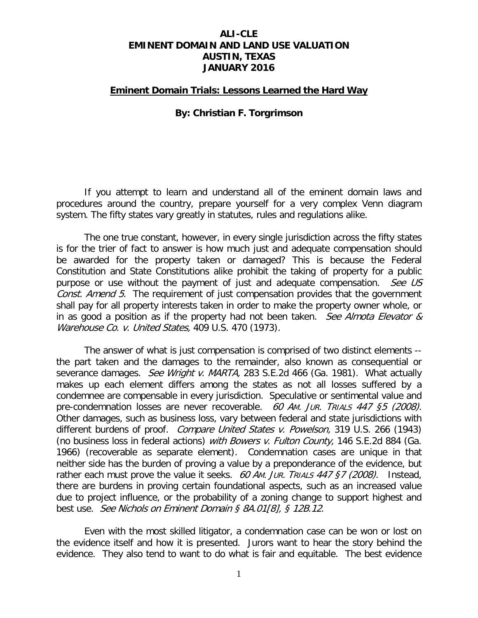### **ALI-CLE EMINENT DOMAIN AND LAND USE VALUATION AUSTIN, TEXAS JANUARY 2016**

#### **Eminent Domain Trials: Lessons Learned the Hard Way**

#### **By: Christian F. Torgrimson**

If you attempt to learn and understand all of the eminent domain laws and procedures around the country, prepare yourself for a very complex Venn diagram system. The fifty states vary greatly in statutes, rules and regulations alike.

The one true constant, however, in every single jurisdiction across the fifty states is for the trier of fact to answer is how much just and adequate compensation should be awarded for the property taken or damaged? This is because the Federal Constitution and State Constitutions alike prohibit the taking of property for a public purpose or use without the payment of just and adequate compensation. See US Const. Amend 5. The requirement of just compensation provides that the government shall pay for all property interests taken in order to make the property owner whole, or in as good a position as if the property had not been taken. See Almota Elevator  $\&$ Warehouse Co. v. United States, 409 U.S. 470 (1973).

The answer of what is just compensation is comprised of two distinct elements - the part taken and the damages to the remainder, also known as consequential or severance damages. See Wright v. MARTA, 283 S.E.2d 466 (Ga. 1981). What actually makes up each element differs among the states as not all losses suffered by a condemnee are compensable in every jurisdiction. Speculative or sentimental value and pre-condemnation losses are never recoverable. 60 AM. JUR. TRIALS 447 §5 (2008). Other damages, such as business loss, vary between federal and state jurisdictions with different burdens of proof. *Compare United States v. Powelson*, 319 U.S. 266 (1943) (no business loss in federal actions) with Bowers v. Fulton County, 146 S.E.2d 884 (Ga. 1966) (recoverable as separate element). Condemnation cases are unique in that neither side has the burden of proving a value by a preponderance of the evidence, but rather each must prove the value it seeks. 60 AM. JUR. TRIALS  $447$   $57$  (2008). Instead, there are burdens in proving certain foundational aspects, such as an increased value due to project influence, or the probability of a zoning change to support highest and best use. See Nichols on Eminent Domain § 8A.01[8], § 12B.12.

Even with the most skilled litigator, a condemnation case can be won or lost on the evidence itself and how it is presented. Jurors want to hear the story behind the evidence. They also tend to want to do what is fair and equitable. The best evidence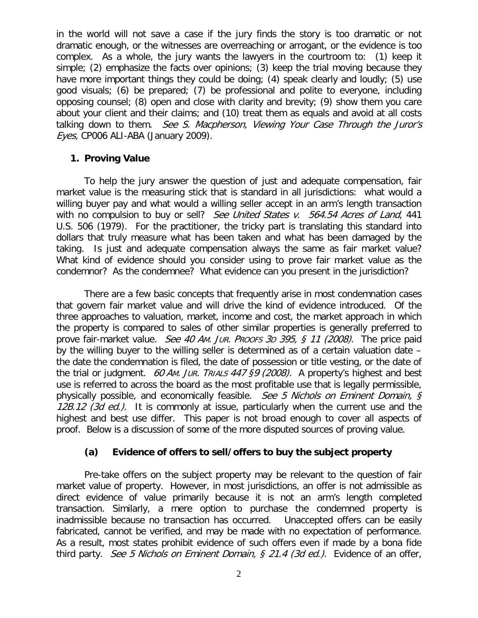in the world will not save a case if the jury finds the story is too dramatic or not dramatic enough, or the witnesses are overreaching or arrogant, or the evidence is too complex. As a whole, the jury wants the lawyers in the courtroom to: (1) keep it simple; (2) emphasize the facts over opinions; (3) keep the trial moving because they have more important things they could be doing; (4) speak clearly and loudly; (5) use good visuals; (6) be prepared; (7) be professional and polite to everyone, including opposing counsel; (8) open and close with clarity and brevity; (9) show them you care about your client and their claims; and (10) treat them as equals and avoid at all costs talking down to them. See S. Macpherson, Viewing Your Case Through the Juror's Eyes, CP006 ALI-ABA (January 2009).

#### **1. Proving Value**

To help the jury answer the question of just and adequate compensation, fair market value is the measuring stick that is standard in all jurisdictions: what would a willing buyer pay and what would a willing seller accept in an arm's length transaction with no compulsion to buy or sell? See United States v. 564.54 Acres of Land, 441 U.S. 506 (1979). For the practitioner, the tricky part is translating this standard into dollars that truly measure what has been taken and what has been damaged by the taking. Is just and adequate compensation always the same as fair market value? What kind of evidence should you consider using to prove fair market value as the condemnor? As the condemnee? What evidence can you present in the jurisdiction?

There are a few basic concepts that frequently arise in most condemnation cases that govern fair market value and will drive the kind of evidence introduced. Of the three approaches to valuation, market, income and cost, the market approach in which the property is compared to sales of other similar properties is generally preferred to prove fair-market value. See 40 Am. Jur. Proofs 3p 395, § 11 (2008). The price paid by the willing buyer to the willing seller is determined as of a certain valuation date – the date the condemnation is filed, the date of possession or title vesting, or the date of the trial or judgment. 60 AM. JUR. TRIALS 447 §9 (2008). A property's highest and best use is referred to across the board as the most profitable use that is legally permissible, physically possible, and economically feasible. See 5 Nichols on Eminent Domain,  $\zeta$ 12B.12 (3d ed.). It is commonly at issue, particularly when the current use and the highest and best use differ. This paper is not broad enough to cover all aspects of proof. Below is a discussion of some of the more disputed sources of proving value.

## **(a) Evidence of offers to sell/offers to buy the subject property**

Pre-take offers on the subject property may be relevant to the question of fair market value of property. However, in most jurisdictions, an offer is not admissible as direct evidence of value primarily because it is not an arm's length completed transaction. Similarly, a mere option to purchase the condemned property is inadmissible because no transaction has occurred. Unaccepted offers can be easily fabricated, cannot be verified, and may be made with no expectation of performance. As a result, most states prohibit evidence of such offers even if made by a bona fide third party. See 5 Nichols on Eminent Domain,  $\zeta$  21.4 (3d ed.). Evidence of an offer,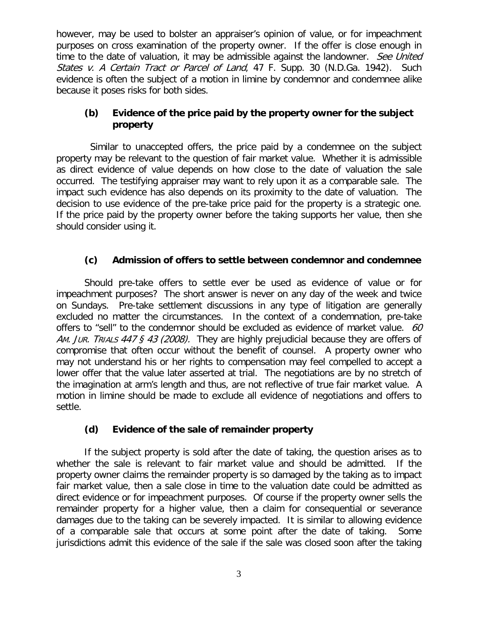however, may be used to bolster an appraiser's opinion of value, or for impeachment purposes on cross examination of the property owner. If the offer is close enough in time to the date of valuation, it may be admissible against the landowner. See United States v. A Certain Tract or Parcel of Land, 47 F. Supp. 30 (N.D.Ga. 1942). Such evidence is often the subject of a motion in limine by condemnor and condemnee alike because it poses risks for both sides.

## **(b) Evidence of the price paid by the property owner for the subject property**

 Similar to unaccepted offers, the price paid by a condemnee on the subject property may be relevant to the question of fair market value. Whether it is admissible as direct evidence of value depends on how close to the date of valuation the sale occurred. The testifying appraiser may want to rely upon it as a comparable sale. The impact such evidence has also depends on its proximity to the date of valuation. The decision to use evidence of the pre-take price paid for the property is a strategic one. If the price paid by the property owner before the taking supports her value, then she should consider using it.

# **(c) Admission of offers to settle between condemnor and condemnee**

Should pre-take offers to settle ever be used as evidence of value or for impeachment purposes? The short answer is never on any day of the week and twice on Sundays. Pre-take settlement discussions in any type of litigation are generally excluded no matter the circumstances. In the context of a condemnation, pre-take offers to "sell" to the condemnor should be excluded as evidence of market value. 60 AM. JUR. TRIALS 447 § 43 (2008). They are highly prejudicial because they are offers of compromise that often occur without the benefit of counsel. A property owner who may not understand his or her rights to compensation may feel compelled to accept a lower offer that the value later asserted at trial. The negotiations are by no stretch of the imagination at arm's length and thus, are not reflective of true fair market value. A motion in limine should be made to exclude all evidence of negotiations and offers to settle.

## **(d) Evidence of the sale of remainder property**

If the subject property is sold after the date of taking, the question arises as to whether the sale is relevant to fair market value and should be admitted. If the property owner claims the remainder property is so damaged by the taking as to impact fair market value, then a sale close in time to the valuation date could be admitted as direct evidence or for impeachment purposes. Of course if the property owner sells the remainder property for a higher value, then a claim for consequential or severance damages due to the taking can be severely impacted. It is similar to allowing evidence of a comparable sale that occurs at some point after the date of taking. Some jurisdictions admit this evidence of the sale if the sale was closed soon after the taking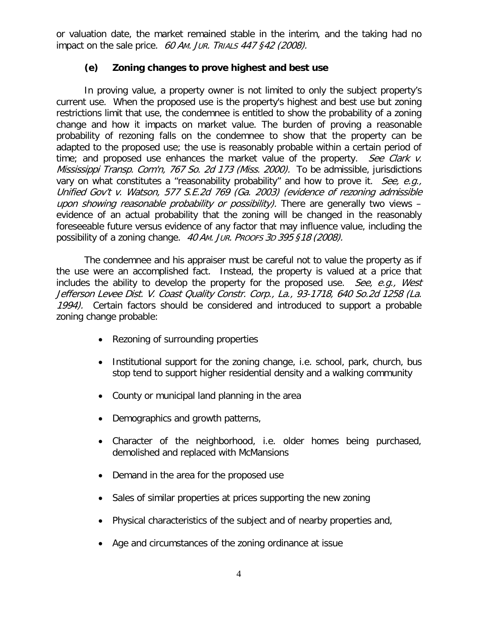or valuation date, the market remained stable in the interim, and the taking had no impact on the sale price. 60 Am. JUR. TRIALS 447 §42 (2008).

# **(e) Zoning changes to prove highest and best use**

In proving value, a property owner is not limited to only the subject property's current use. When the proposed use is the property's highest and best use but zoning restrictions limit that use, the condemnee is entitled to show the probability of a zoning change and how it impacts on market value. The burden of proving a reasonable probability of rezoning falls on the condemnee to show that the property can be adapted to the proposed use; the use is reasonably probable within a certain period of time; and proposed use enhances the market value of the property. See Clark  $\nu$ . [Mississippi Transp. Com'n, 767 So. 2d 173 \(Miss. 2000\).](http://www.westlaw.com/Find/Default.wl?rs=dfa1.0&vr=2.0&DB=0000735&FindType=Y&SerialNum=2000109418) To be admissible, jurisdictions vary on what constitutes a "reasonability probability" and how to prove it. See, e.g., Unified Gov't v. Watson, 577 S.E.2d 769 (Ga. 2003) (evidence of rezoning admissible upon showing reasonable probability or possibility). There are generally two views evidence of an actual probability that the zoning will be changed in the reasonably foreseeable future versus evidence of any factor that may influence value, including the possibility of a zoning change. 40 AM. JUR. PROOFS 3D 395 §18 (2008).

The condemnee and his appraiser must be careful not to value the property as if the use were an accomplished fact. Instead, the property is valued at a price that includes the ability to develop the property for the proposed use. See, e.g., West Jefferson Levee Dist. V. Coast Quality Constr. Corp., La., 93-1718, 640 So.2d 1258 (La. 1994). Certain factors should be considered and introduced to support a probable zoning change probable:

- Rezoning of surrounding properties
- Institutional support for the zoning change, i.e. school, park, church, bus stop tend to support higher residential density and a walking community
- County or municipal land planning in the area
- Demographics and growth patterns,
- Character of the neighborhood, i.e. older homes being purchased, demolished and replaced with McMansions
- Demand in the area for the proposed use
- Sales of similar properties at prices supporting the new zoning
- Physical characteristics of the subject and of nearby properties and,
- Age and circumstances of the zoning ordinance at issue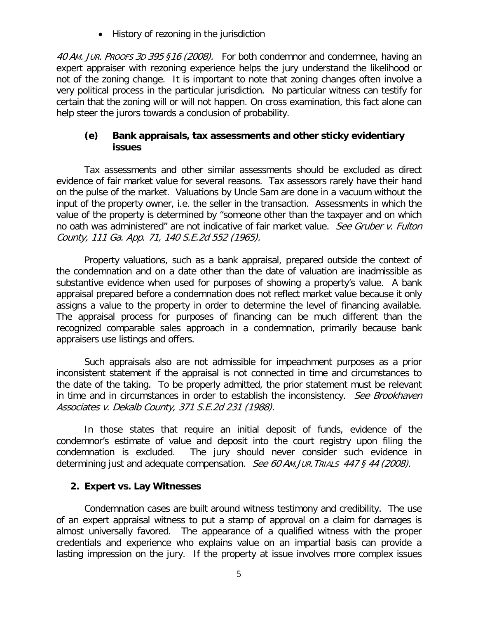• History of rezoning in the jurisdiction

40 AM. JUR. PROOFS 3D 395 §16 (2008). For both condemnor and condemnee, having an expert appraiser with rezoning experience helps the jury understand the likelihood or not of the zoning change. It is important to note that zoning changes often involve a very political process in the particular jurisdiction. No particular witness can testify for certain that the zoning will or will not happen. On cross examination, this fact alone can help steer the jurors towards a conclusion of probability.

### **(e) Bank appraisals, tax assessments and other sticky evidentiary issues**

Tax assessments and other similar assessments should be excluded as direct evidence of fair market value for several reasons. Tax assessors rarely have their hand on the pulse of the market. Valuations by Uncle Sam are done in a vacuum without the input of the property owner, i.e. the seller in the transaction. Assessments in which the value of the property is determined by "someone other than the taxpayer and on which no oath was administered" are not indicative of fair market value. See Gruber v. Fulton County, 111 Ga. App. 71, 140 S.E.2d 552 (1965).

Property valuations, such as a bank appraisal, prepared outside the context of the condemnation and on a date other than the date of valuation are inadmissible as substantive evidence when used for purposes of showing a property's value. A bank appraisal prepared before a condemnation does not reflect market value because it only assigns a value to the property in order to determine the level of financing available. The appraisal process for purposes of financing can be much different than the recognized comparable sales approach in a condemnation, primarily because bank appraisers use listings and offers.

Such appraisals also are not admissible for impeachment purposes as a prior inconsistent statement if the appraisal is not connected in time and circumstances to the date of the taking. To be properly admitted, the prior statement must be relevant in time and in circumstances in order to establish the inconsistency. See Brookhaven Associates v. Dekalb County, 371 S.E.2d 231 (1988).

In those states that require an initial deposit of funds, evidence of the condemnor's estimate of value and deposit into the court registry upon filing the condemnation is excluded. The jury should never consider such evidence in determining just and adequate compensation. See 60 AM. JUR. TRIALS 447 § 44 (2008).

## **2. Expert vs. Lay Witnesses**

Condemnation cases are built around witness testimony and credibility. The use of an expert appraisal witness to put a stamp of approval on a claim for damages is almost universally favored. The appearance of a qualified witness with the proper credentials and experience who explains value on an impartial basis can provide a lasting impression on the jury. If the property at issue involves more complex issues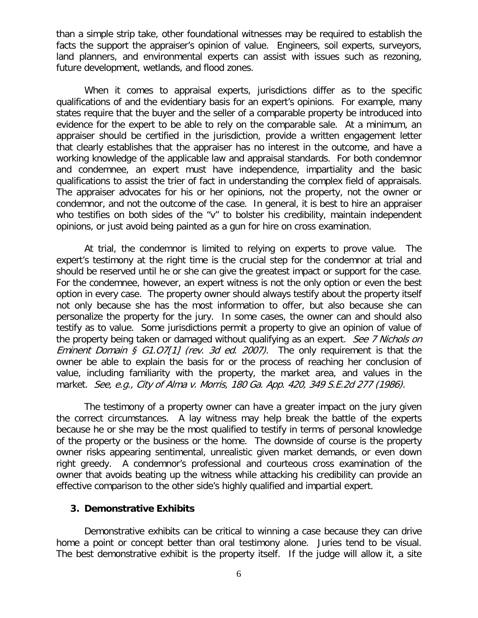than a simple strip take, other foundational witnesses may be required to establish the facts the support the appraiser's opinion of value. Engineers, soil experts, surveyors, land planners, and environmental experts can assist with issues such as rezoning, future development, wetlands, and flood zones.

When it comes to appraisal experts, jurisdictions differ as to the specific qualifications of and the evidentiary basis for an expert's opinions. For example, many states require that the buyer and the seller of a comparable property be introduced into evidence for the expert to be able to rely on the comparable sale. At a minimum, an appraiser should be certified in the jurisdiction, provide a written engagement letter that clearly establishes that the appraiser has no interest in the outcome, and have a working knowledge of the applicable law and appraisal standards. For both condemnor and condemnee, an expert must have independence, impartiality and the basic qualifications to assist the trier of fact in understanding the complex field of appraisals. The appraiser advocates for his or her opinions, not the property, not the owner or condemnor, and not the outcome of the case. In general, it is best to hire an appraiser who testifies on both sides of the "v" to bolster his credibility, maintain independent opinions, or just avoid being painted as a gun for hire on cross examination.

At trial, the condemnor is limited to relying on experts to prove value. The expert's testimony at the right time is the crucial step for the condemnor at trial and should be reserved until he or she can give the greatest impact or support for the case. For the condemnee, however, an expert witness is not the only option or even the best option in every case. The property owner should always testify about the property itself not only because she has the most information to offer, but also because she can personalize the property for the jury. In some cases, the owner can and should also testify as to value. Some jurisdictions permit a property to give an opinion of value of the property being taken or damaged without qualifying as an expert. See 7 Nichols on *Eminent Domain § G1.07[1] (rev. 3d ed. 2007).* The only requirement is that the owner be able to explain the basis for or the process of reaching her conclusion of value, including familiarity with the property, the market area, and values in the market. See, e.g., City of Alma v. Morris, 180 Ga. App. 420, 349 S.E.2d 277 (1986).

The testimony of a property owner can have a greater impact on the jury given the correct circumstances. A lay witness may help break the battle of the experts because he or she may be the most qualified to testify in terms of personal knowledge of the property or the business or the home. The downside of course is the property owner risks appearing sentimental, unrealistic given market demands, or even down right greedy. A condemnor's professional and courteous cross examination of the owner that avoids beating up the witness while attacking his credibility can provide an effective comparison to the other side's highly qualified and impartial expert.

#### **3. Demonstrative Exhibits**

Demonstrative exhibits can be critical to winning a case because they can drive home a point or concept better than oral testimony alone. Juries tend to be visual. The best demonstrative exhibit is the property itself. If the judge will allow it, a site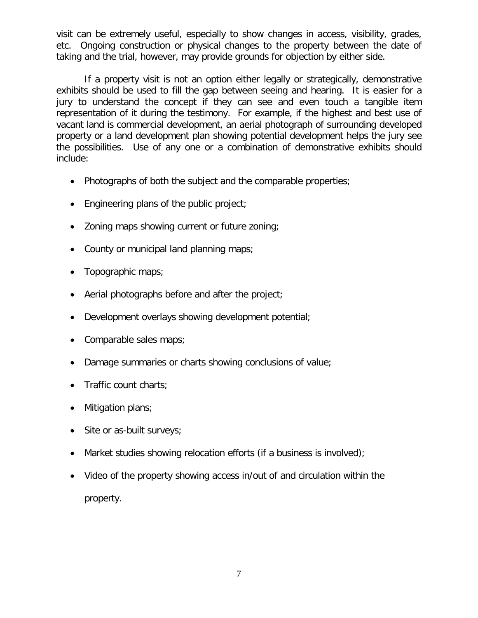visit can be extremely useful, especially to show changes in access, visibility, grades, etc. Ongoing construction or physical changes to the property between the date of taking and the trial, however, may provide grounds for objection by either side.

If a property visit is not an option either legally or strategically, demonstrative exhibits should be used to fill the gap between seeing and hearing. It is easier for a jury to understand the concept if they can see and even touch a tangible item representation of it during the testimony. For example, if the highest and best use of vacant land is commercial development, an aerial photograph of surrounding developed property or a land development plan showing potential development helps the jury see the possibilities. Use of any one or a combination of demonstrative exhibits should include:

- Photographs of both the subject and the comparable properties;
- Engineering plans of the public project;
- Zoning maps showing current or future zoning;
- County or municipal land planning maps;
- Topographic maps;
- Aerial photographs before and after the project;
- Development overlays showing development potential;
- Comparable sales maps;
- Damage summaries or charts showing conclusions of value;
- Traffic count charts;
- Mitigation plans;
- Site or as-built surveys;
- Market studies showing relocation efforts (if a business is involved);
- Video of the property showing access in/out of and circulation within the property.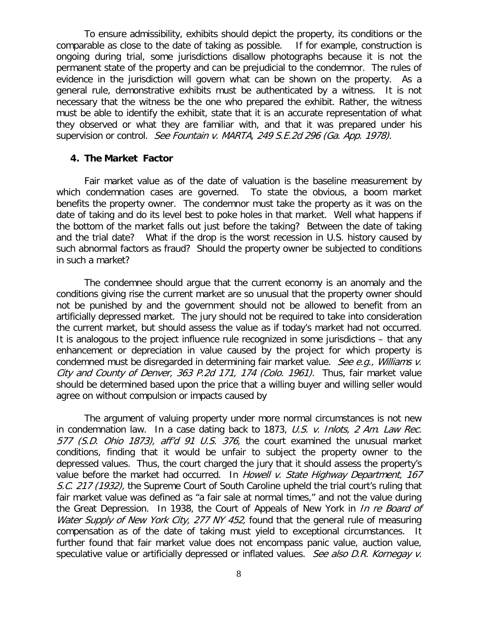To ensure admissibility, exhibits should depict the property, its conditions or the comparable as close to the date of taking as possible. If for example, construction is ongoing during trial, some jurisdictions disallow photographs because it is not the permanent state of the property and can be prejudicial to the condemnor. The rules of evidence in the jurisdiction will govern what can be shown on the property. As a general rule, demonstrative exhibits must be authenticated by a witness. It is not necessary that the witness be the one who prepared the exhibit. Rather, the witness must be able to identify the exhibit, state that it is an accurate representation of what they observed or what they are familiar with, and that it was prepared under his supervision or control. See Fountain v. MARTA, 249 S.E.2d 296 (Ga. App. 1978).

#### **4. The Market Factor**

Fair market value as of the date of valuation is the baseline measurement by which condemnation cases are governed. To state the obvious, a boom market benefits the property owner. The condemnor must take the property as it was on the date of taking and do its level best to poke holes in that market. Well what happens if the bottom of the market falls out just before the taking? Between the date of taking and the trial date? What if the drop is the worst recession in U.S. history caused by such abnormal factors as fraud? Should the property owner be subjected to conditions in such a market?

The condemnee should argue that the current economy is an anomaly and the conditions giving rise the current market are so unusual that the property owner should not be punished by and the government should not be allowed to benefit from an artificially depressed market. The jury should not be required to take into consideration the current market, but should assess the value as if today's market had not occurred. It is analogous to the project influence rule recognized in some jurisdictions – that any enhancement or depreciation in value caused by the project for which property is condemned must be disregarded in determining fair market value. See e.g., Williams v. City and County of Denver, 363 P.2d 171, 174 (Colo. 1961). Thus, fair market value should be determined based upon the price that a willing buyer and willing seller would agree on without compulsion or impacts caused by

The argument of valuing property under more normal circumstances is not new in condemnation law. In a case dating back to 1873, U.S. v. Inlots, 2 Am. Law Rec. 577 (S.D. Ohio 1873), aff'd 91 U.S. 376, the court examined the unusual market conditions, finding that it would be unfair to subject the property owner to the depressed values. Thus, the court charged the jury that it should assess the property's value before the market had occurred. In Howell v. State Highway Department, 167 S.C. 217 (1932), the Supreme Court of South Caroline upheld the trial court's ruling that fair market value was defined as "a fair sale at normal times," and not the value during the Great Depression. In 1938, the Court of Appeals of New York in *In re Board of* Water Supply of New York City, 277 NY 452, found that the general rule of measuring compensation as of the date of taking must yield to exceptional circumstances. It further found that fair market value does not encompass panic value, auction value, speculative value or artificially depressed or inflated values. See also D.R. Kornegay v.